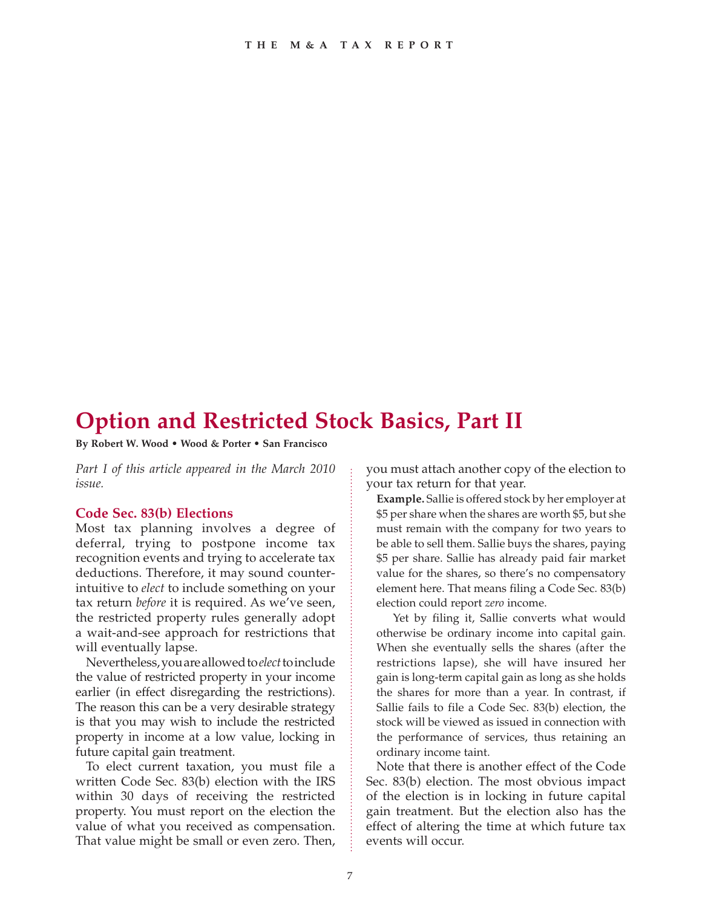# **Option and Restricted Stock Basics, Part II**

**By Robert W. Wood • Wood & Porter • San Francisco**

*Part I of this article appeared in the March 2010 issue.*

#### **Code Sec. 83(b) Elections**

Most tax planning involves a degree of deferral, trying to postpone income tax recognition events and trying to accelerate tax deductions. Therefore, it may sound counterintuitive to *elect* to include something on your tax return *before* it is required. As we've seen, the restricted property rules generally adopt a wait-and-see approach for restrictions that will eventually lapse.

Nevertheless, you are allowed to *elect* to include the value of restricted property in your income earlier (in effect disregarding the restrictions). The reason this can be a very desirable strategy is that you may wish to include the restricted property in income at a low value, locking in future capital gain treatment.

To elect current taxation, you must file a written Code Sec. 83(b) election with the IRS within 30 days of receiving the restricted property. You must report on the election the value of what you received as compensation. That value might be small or even zero. Then, you must attach another copy of the election to your tax return for that year.

**Example.** Sallie is offered stock by her employer at \$5 per share when the shares are worth \$5, but she must remain with the company for two years to be able to sell them. Sallie buys the shares, paying \$5 per share. Sallie has already paid fair market value for the shares, so there's no compensatory element here. That means filing a Code Sec. 83(b) election could report *zero* income.

Yet by filing it, Sallie converts what would otherwise be ordinary income into capital gain. When she eventually sells the shares (after the restrictions lapse), she will have insured her gain is long-term capital gain as long as she holds the shares for more than a year. In contrast, if Sallie fails to file a Code Sec. 83(b) election, the stock will be viewed as issued in connection with the performance of services, thus retaining an ordinary income taint.

Note that there is another effect of the Code Sec. 83(b) election. The most obvious impact of the election is in locking in future capital gain treatment. But the election also has the effect of altering the time at which future tax events will occur.